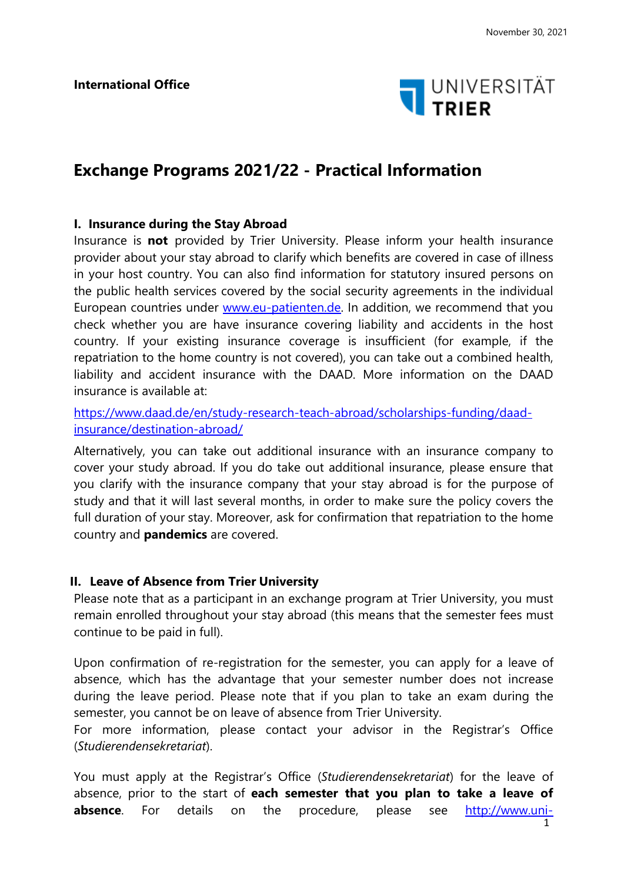

# **Exchange Programs 2021/22 - Practical Information**

## **I. Insurance during the Stay Abroad**

Insurance is **not** provided by Trier University. Please inform your health insurance provider about your stay abroad to clarify which benefits are covered in case of illness in your host country. You can also find information for statutory insured persons on the public health services covered by the social security agreements in the individual European countries under [www.eu-patienten.de.](http://www.eu-patienten.de/) In addition, we recommend that you check whether you are have insurance covering liability and accidents in the host country. If your existing insurance coverage is insufficient (for example, if the repatriation to the home country is not covered), you can take out a combined health, liability and accident insurance with the DAAD. More information on the DAAD insurance is available at:

[https://www.daad.de/en/study-research-teach-abroad/scholarships-funding/daad](https://www.daad.de/en/study-research-teach-abroad/scholarships-funding/daad-insurance/destination-abroad/)[insurance/destination-abroad/](https://www.daad.de/en/study-research-teach-abroad/scholarships-funding/daad-insurance/destination-abroad/)

Alternatively, you can take out additional insurance with an insurance company to cover your study abroad. If you do take out additional insurance, please ensure that you clarify with the insurance company that your stay abroad is for the purpose of study and that it will last several months, in order to make sure the policy covers the full duration of your stay. Moreover, ask for confirmation that repatriation to the home country and **pandemics** are covered.

## **II. Leave of Absence from Trier University**

Please note that as a participant in an exchange program at Trier University, you must remain enrolled throughout your stay abroad (this means that the semester fees must continue to be paid in full).

Upon confirmation of re-registration for the semester, you can apply for a leave of absence, which has the advantage that your semester number does not increase during the leave period. Please note that if you plan to take an exam during the semester, you cannot be on leave of absence from Trier University.

For more information, please contact your advisor in the Registrar's Office (*Studierendensekretariat*).

You must apply at the Registrar's Office (*Studierendensekretariat*) for the leave of absence, prior to the start of **each semester that you plan to take a leave of**  absence. For details on the procedure, please see [http://www.uni-](http://www.uni-trier.de/index.php?id=743)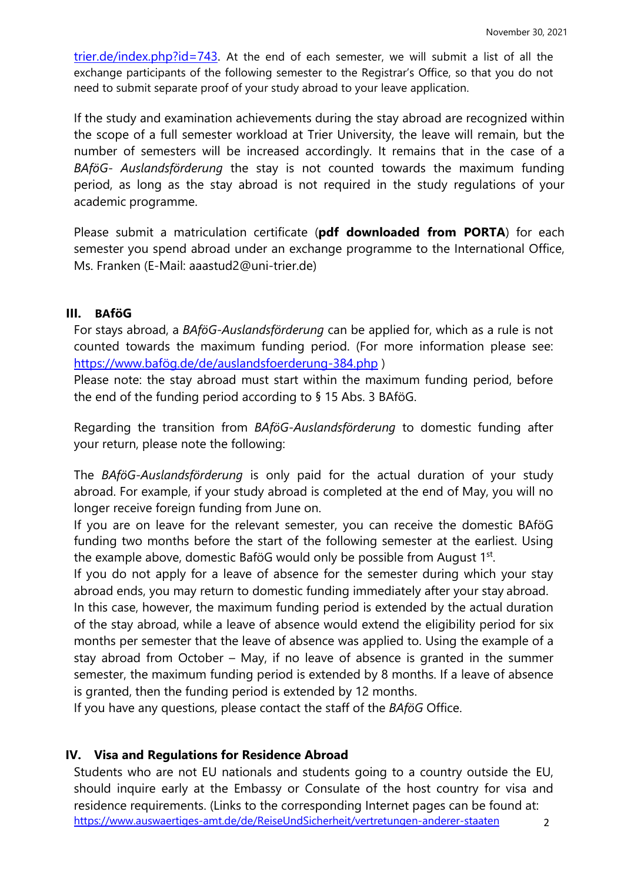$trier.de/index.php?id=743$ . At the end of each semester, we will submit a list of all the exchange participants of the following semester to the Registrar's Office, so that you do not need to submit separate proof of your study abroad to your leave application.

If the study and examination achievements during the stay abroad are recognized within the scope of a full semester workload at Trier University, the leave will remain, but the number of semesters will be increased accordingly. It remains that in the case of a *BAföG- Auslandsförderung* the stay is not counted towards the maximum funding period, as long as the stay abroad is not required in the study regulations of your academic programme.

Please submit a matriculation certificate (**pdf downloaded from PORTA**) for each semester you spend abroad under an exchange programme to the International Office, Ms. Franken (E-Mail: aaastud2@uni-trier.de)

## **III. BAföG**

For stays abroad, a *BAföG-Auslandsförderung* can be applied for, which as a rule is not counted towards the maximum funding period. (For more information please see: [https://www.bafög.de/de/auslandsfoerderung-384.php](https://www.baf%C3%B6g.de/de/auslandsfoerderung-384.php) )

Please note: the stay abroad must start within the maximum funding period, before the end of the funding period according to § 15 Abs. 3 BAföG.

Regarding the transition from *BAföG-Auslandsförderung* to domestic funding after your return, please note the following:

The *BAföG-Auslandsförderung* is only paid for the actual duration of your study abroad. For example, if your study abroad is completed at the end of May, you will no longer receive foreign funding from June on.

If you are on leave for the relevant semester, you can receive the domestic BAföG funding two months before the start of the following semester at the earliest. Using the example above, domestic BaföG would only be possible from August 1<sup>st</sup>.

If you do not apply for a leave of absence for the semester during which your stay abroad ends, you may return to domestic funding immediately after your stay abroad.

In this case, however, the maximum funding period is extended by the actual duration of the stay abroad, while a leave of absence would extend the eligibility period for six months per semester that the leave of absence was applied to. Using the example of a stay abroad from October – May, if no leave of absence is granted in the summer semester, the maximum funding period is extended by 8 months. If a leave of absence is granted, then the funding period is extended by 12 months.

If you have any questions, please contact the staff of the *BAföG* Office.

## **IV. Visa and Regulations for Residence Abroad**

2 Students who are not EU nationals and students going to a country outside the EU, should inquire early at the Embassy or Consulate of the host country for visa and residence requirements. (Links to the corresponding Internet pages can be found at: <https://www.auswaertiges-amt.de/de/ReiseUndSicherheit/vertretungen-anderer-staaten>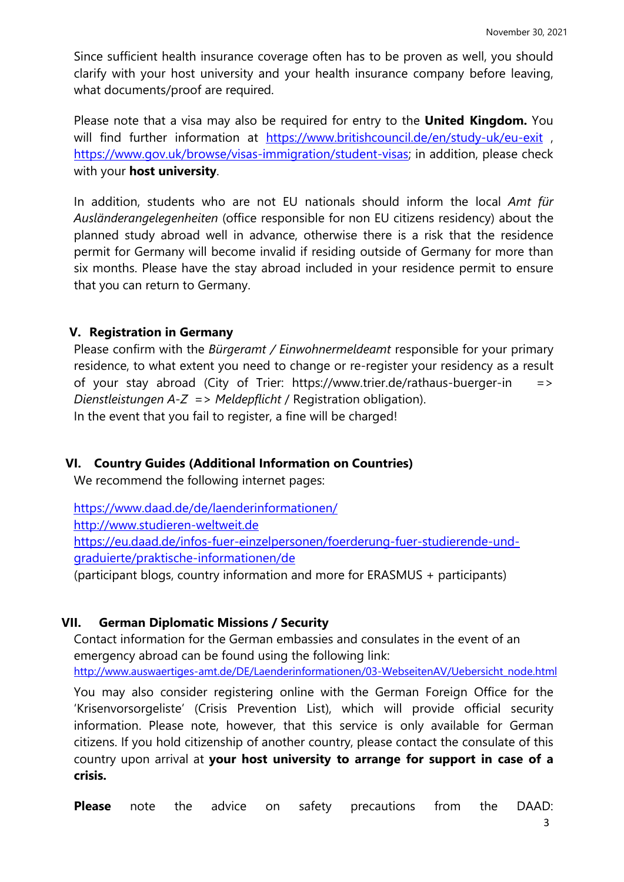Since sufficient health insurance coverage often has to be proven as well, you should clarify with your host university and your health insurance company before leaving, what documents/proof are required.

Please note that a visa may also be required for entry to the **United Kingdom.** You will find further information at <https://www.britishcouncil.de/en/study-uk/eu-exit>, [https://www.gov.uk/browse/visas-immigration/student-visas;](https://www.gov.uk/browse/visas-immigration/student-visas) in addition, please check with your **host university**.

In addition, students who are not EU nationals should inform the local *Amt für Ausländerangelegenheiten* (office responsible for non EU citizens residency) about the planned study abroad well in advance, otherwise there is a risk that the residence permit for Germany will become invalid if residing outside of Germany for more than six months. Please have the stay abroad included in your residence permit to ensure that you can return to Germany.

# **V. Registration in Germany**

Please confirm with the *Bürgeramt / Einwohnermeldeamt* responsible for your primary residence, to what extent you need to change or re-register your residency as a result of your stay abroad (City of Trier: https:[//www.trier.de/rathaus-buerger-in](http://www.trier.de/rathaus-buerger-in/) => *Dienstleistungen A-Z* => *Meldepflicht* / Registration obligation). In the event that you fail to register, a fine will be charged!

# **VI. Country Guides (Additional Information on Countries)**

We recommend the following internet pages:

<https://www.daad.de/de/laenderinformationen/> [http://www.studieren-weltweit.de](http://www.studieren-weltweit.de/) [https://eu.daad.de/infos-fuer-einzelpersonen/foerderung-fuer-studierende-und](https://eu.daad.de/infos-fuer-einzelpersonen/foerderung-fuer-studierende-und-graduierte/praktische-informationen/de)[graduierte/praktische-informationen/de](https://eu.daad.de/infos-fuer-einzelpersonen/foerderung-fuer-studierende-und-graduierte/praktische-informationen/de) (participant blogs, country information and more for ERASMUS + participants)

# **VII. German Diplomatic Missions / Security**

Contact information for the German embassies and consulates in the event of an emergency abroad can be found using the following link: [http://www.auswaertiges-amt.de/DE/Laenderinformationen/03-WebseitenAV/Uebersicht\\_node.html](http://www.auswaertiges-amt.de/DE/Laenderinformationen/03-WebseitenAV/Uebersicht_node.html)

You may also consider registering online with the German Foreign Office for the 'Krisenvorsorgeliste' (Crisis Prevention List), which will provide official security information. Please note, however, that this service is only available for German citizens. If you hold citizenship of another country, please contact the consulate of this country upon arrival at **your host university to arrange for support in case of a crisis.**

**Please** note the advice on safety precautions from the DAAD: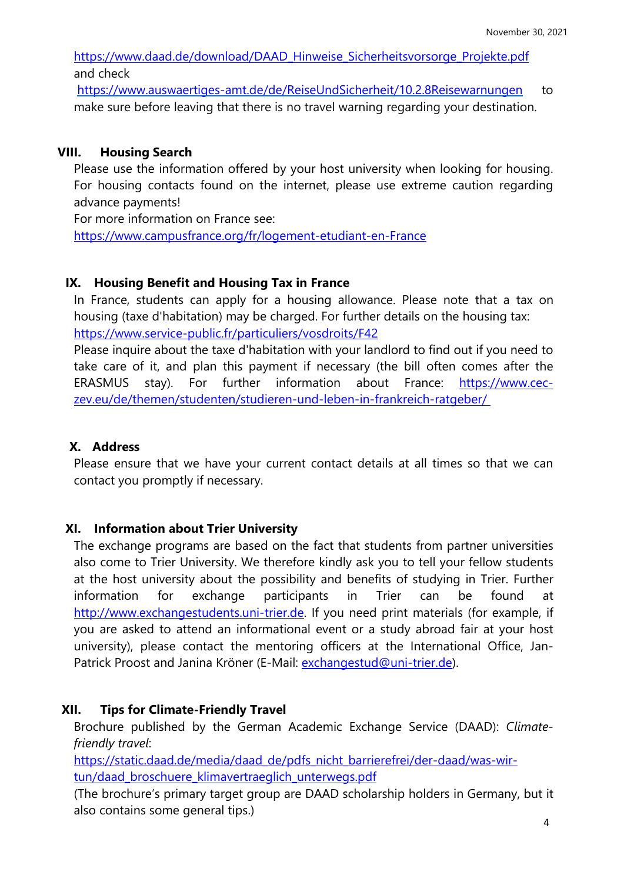https:/[/www.daad.de/download/DAAD\\_Hinweise\\_Sicherheitsvorsorge\\_Projekte.pdf](http://www.daad.de/download/DAAD_Hinweise_Sicherheitsvorsorge_Projekte.pdf) and check

https:/[/www.auswaertiges-amt.de/de/ReiseUndSicherheit/10.2.8Reisewarnungen](http://www.auswaertiges-amt.de/de/ReiseUndSicherheit/10.2.8Reisewarnungen) to make sure before leaving that there is no travel warning regarding your destination.

## **VIII. Housing Search**

Please use the information offered by your host university when looking for housing. For housing contacts found on the internet, please use extreme caution regarding advance payments!

For more information on France see:

<https://www.campusfrance.org/fr/logement-etudiant-en-France>

#### **IX. Housing Benefit and Housing Tax in France**

In France, students can apply for a housing allowance. Please note that a tax on housing (taxe d'habitation) may be charged. For further details on the housing tax: <https://www.service-public.fr/particuliers/vosdroits/F42>

Please inquire about the taxe d'habitation with your landlord to find out if you need to take care of it, and plan this payment if necessary (the bill often comes after the ERASMUS stay). For further information about France: [https://www.cec](https://www.cec-zev.eu/de/themen/studenten/studieren-und-leben-in-frankreich-ratgeber/)[zev.eu/de/themen/studenten/studieren-und-leben-in-frankreich-ratgeber/](https://www.cec-zev.eu/de/themen/studenten/studieren-und-leben-in-frankreich-ratgeber/)

# **X. Address**

Please ensure that we have your current contact details at all times so that we can contact you promptly if necessary.

#### **XI. Information about Trier University**

The exchange programs are based on the fact that students from partner universities also come to Trier University. We therefore kindly ask you to tell your fellow students at the host university about the possibility and benefits of studying in Trier. Further information for exchange participants in Trier can be found at [http://www.exchangestudents.uni-trier.de.](http://www.exchangestudents.uni-trier.de/) If you need print materials (for example, if you are asked to attend an informational event or a study abroad fair at your host university), please contact the mentoring officers at the International Office, JanPatrick Proost and Janina Kröner (E-Mail: [exchangestud@uni-trier.de\)](mailto:exchangestud@uni-trier.de).

#### **XII. Tips for Climate-Friendly Travel**

Brochure published by the German Academic Exchange Service (DAAD): *Climatefriendly travel*:

[https://static.daad.de/media/daad\\_de/pdfs\\_nicht\\_barrierefrei/der-daad/was-wir](https://static.daad.de/media/daad_de/pdfs_nicht_barrierefrei/der-daad/was-wir-tun/daad_broschuere_klimavertraeglich_unterwegs.pdf)[tun/daad\\_broschuere\\_klimavertraeglich\\_unterwegs.pdf](https://static.daad.de/media/daad_de/pdfs_nicht_barrierefrei/der-daad/was-wir-tun/daad_broschuere_klimavertraeglich_unterwegs.pdf)

(The brochure's primary target group are DAAD scholarship holders in Germany, but it also contains some general tips.)